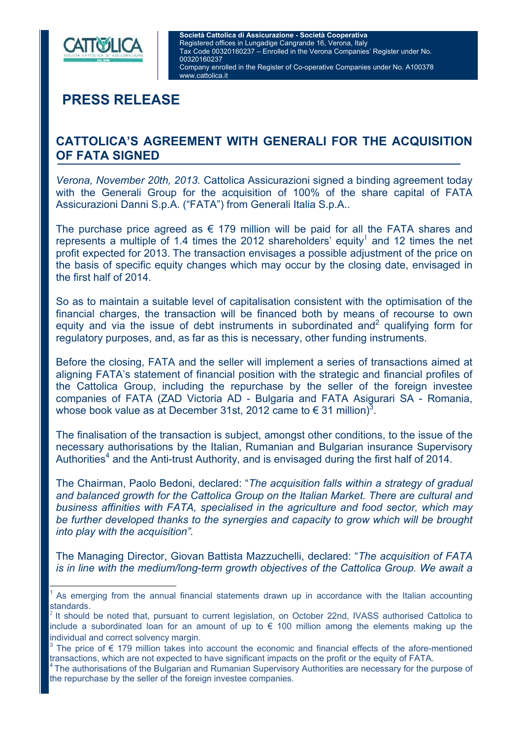

 $\overline{a}$ 

# **PRESS RELEASE**

## **CATTOLICA'S AGREEMENT WITH GENERALI FOR THE ACQUISITION OF FATA SIGNED**

*Verona, November 20th, 2013.* Cattolica Assicurazioni signed a binding agreement today with the Generali Group for the acquisition of 100% of the share capital of FATA Assicurazioni Danni S.p.A. ("FATA") from Generali Italia S.p.A..

The purchase price agreed as  $\epsilon$  179 million will be paid for all the FATA shares and represents a multiple of 1.4 times the 2012 shareholders' equity<sup>1</sup> and 12 times the net profit expected for 2013. The transaction envisages a possible adjustment of the price on the basis of specific equity changes which may occur by the closing date, envisaged in the first half of 2014.

So as to maintain a suitable level of capitalisation consistent with the optimisation of the financial charges, the transaction will be financed both by means of recourse to own equity and via the issue of debt instruments in subordinated and<sup>2</sup> qualifying form for regulatory purposes, and, as far as this is necessary, other funding instruments.

Before the closing, FATA and the seller will implement a series of transactions aimed at aligning FATA's statement of financial position with the strategic and financial profiles of the Cattolica Group, including the repurchase by the seller of the foreign investee companies of FATA (ZAD Victoria AD - Bulgaria and FATA Asigurari SA - Romania, whose book value as at December 31st, 2012 came to  $\in$  31 million)<sup>3</sup>.

The finalisation of the transaction is subject, amongst other conditions, to the issue of the necessary authorisations by the Italian, Rumanian and Bulgarian insurance Supervisory Authorities<sup>4</sup> and the Anti-trust Authority, and is envisaged during the first half of 2014.

The Chairman, Paolo Bedoni, declared: "*The acquisition falls within a strategy of gradual and balanced growth for the Cattolica Group on the Italian Market. There are cultural and business affinities with FATA, specialised in the agriculture and food sector, which may be further developed thanks to the synergies and capacity to grow which will be brought into play with the acquisition".*

The Managing Director, Giovan Battista Mazzuchelli, declared: "*The acquisition of FATA is in line with the medium/long-term growth objectives of the Cattolica Group. We await a* 

<sup>1</sup> As emerging from the annual financial statements drawn up in accordance with the Italian accounting standards.

<sup>2</sup> It should be noted that, pursuant to current legislation, on October 22nd, IVASS authorised Cattolica to include a subordinated loan for an amount of up to € 100 million among the elements making up the individual and correct solvency margin.

<sup>&</sup>lt;sup>3</sup> The price of € 179 million takes into account the economic and financial effects of the afore-mentioned transactions, which are not expected to have significant impacts on the profit or the equity of FATA.<br><sup>4</sup> The authorisations of the Bulgarian and Rumanian Supervisory Authorities are necessary for the purpose of

the repurchase by the seller of the foreign investee companies.